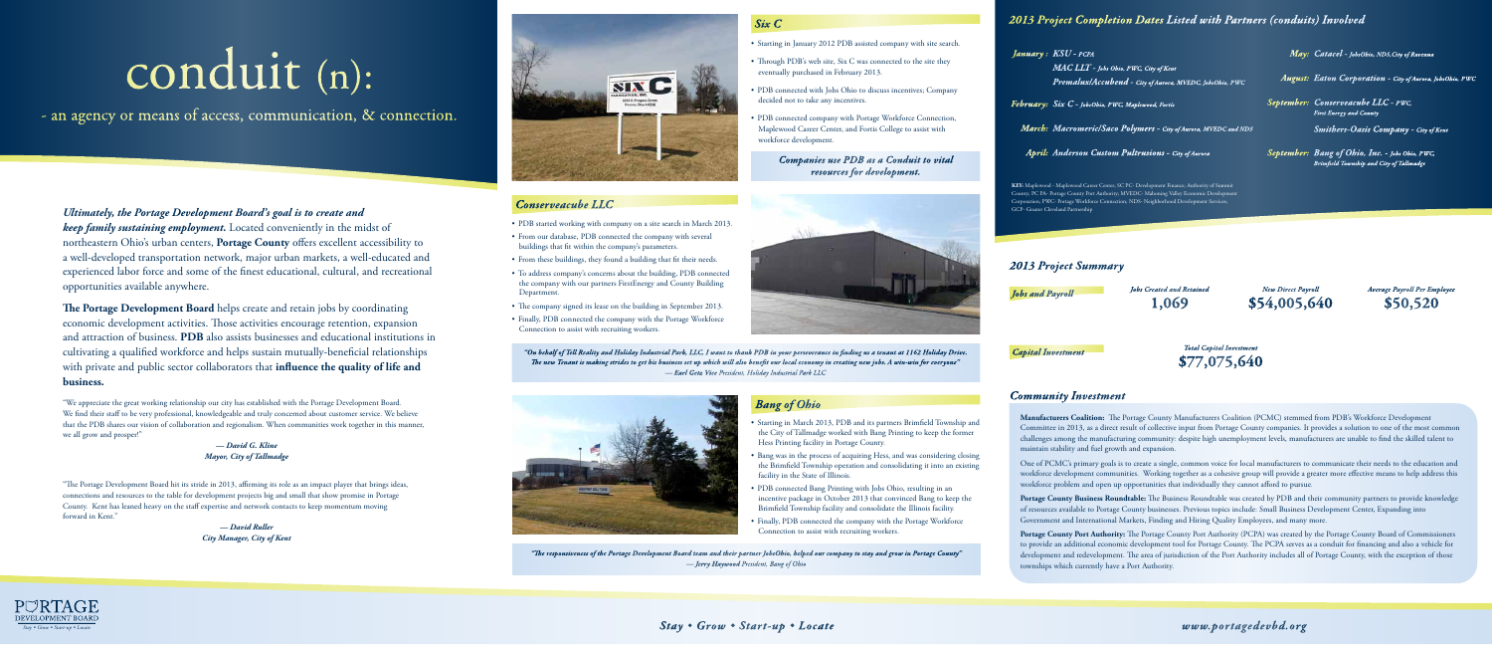*Ultimately, the Portage Development Board's goal is to create and keep family sustaining employment.* Located conveniently in the midst of northeastern Ohio's urban centers, **Portage County** offers excellent accessibility to a well-developed transportation network, major urban markets, a well-educated and experienced labor force and some of the finest educational, cultural, and recreational opportunities available anywhere.

"The Portage Development Board hit its stride in 2013, affirming its role as an impact player that brings ideas, connections and resources to the table for development projects big and small that show promise in Portage County. Kent has leaned heavy on the staff expertise and network contacts to keep momentum moving forward in Kent."

**The Portage Development Board** helps create and retain jobs by coordinating economic development activities. Those activities encourage retention, expansion and attraction of business. **PDB** also assists businesses and educational institutions in cultivating a qualified workforce and helps sustain mutually-beneficial relationships with private and public sector collaborators that **influence the quality of life and business.**

"We appreciate the great working relationship our city has established with the Portage Development Board. We find their staff to be very professional, knowledgeable and truly concerned about customer service. We believe that the PDB shares our vision of collaboration and regionalism. When communities work together in this manner, we all grow and prosper!"

> *— David G. Kline Mayor, City of Tallmadge*

- PDB started working with company on a site search in March 2013.
- From our database, PDB connected the company with several buildings that fit within the company's parameters.
- From these buildings, they found a building that fit their needs.
- • To address company's concerns about the building, PDB connected the company with our partners FirstEnergy and County Building Department.
- The company signed its lease on the building in September 2013.
- Finally, PDB connected the company with the Portage Workforce Connection to assist with recruiting workers.

*— David Ruller City Manager, City of Kent*

# conduit (n):

- an agency or means of access, communication, & connection.





### *Six C*

- • Starting in January 2012 PDB assisted company with site search.
- Through PDB's web site, Six C was connected to the site they eventually purchased in February 2013.
- PDB connected with Jobs Ohio to discuss incentives; Company decided not to take any incentives.
- • PDB connected company with Portage Workforce Connection, Maplewood Career Center, and Fortis College to assist with workforce development.

### *Conserveacube LLC*

- • Starting in March 2013, PDB and its partners Brimfield Township and the City of Tallmadge worked with Bang Printing to keep the former Hess Printing facility in Portage County.
- • Bang was in the process of acquiring Hess, and was considering closing the Brimfield Township operation and consolidating it into an existing facility in the State of Illinois.
- PDB connected Bang Printing with Jobs Ohio, resulting in an incentive package in October 2013 that convinced Bang to keep the Brimfield Township facility and consolidate the Illinois facility.
- Finally, PDB connected the company with the Portage Workforce Connection to assist with recruiting workers.

### *Bang of Ohio*

*Companies use PDB as a Conduit to vital resources for development.*



*"On behalf of Tell Reality and Holiday Industrial Park, LLC, I want to thank PDB in your perseverance in finding us a tenant at 1162 Holiday Drive. The new Tenant is making strides to get his business set up which will also benefit our local economy in creating new jobs. A win-win for everyone" — Earl Getz Vice President, Holiday Industrial Park LLC*



### *Community Investment*

**Manufacturers Coalition:** The Portage County Manufacturers Coalition (PCMC) stemmed from PDB's Workforce Development Committee in 2013, as a direct result of collective input from Portage County companies. It provides a solution to one of the most common challenges among the manufacturing community: despite high unemployment levels, manufacturers are unable to find the skilled talent to maintain stability and fuel growth and expansion.

One of PCMC's primary goals is to create a single, common voice for local manufacturers to communicate their needs to the education and workforce development communities. Working together as a cohesive group will provide a greater more effective means to help address this workforce problem and open up opportunities that individually they cannot afford to pursue.

**Portage County Business Roundtable:** The Business Roundtable was created by PDB and their community partners to provide knowledge of resources available to Portage County businesses. Previous topics include: Small Business Development Center, Expanding into Government and International Markets, Finding and Hiring Quality Employees, and many more.

**Portage County Port Authority:** The Portage County Port Authority (PCPA) was created by the Portage County Board of Commissioners to provide an additional economic development tool for Portage County. The PCPA serves as a conduit for financing and also a vehicle for development and redevelopment. The area of jurisdiction of the Port Authority includes all of Portage County, with the exception of those townships which currently have a Port Authority.

*Jobs Created and Retained* **1,069** *New Direct Payroll* **\$54,005,640** *Average Payroll Per Employee* **\$50,520** *Jobs and Payroll*

> *Total Capital Investment* **\$77,075,640**

*Capital Investment*

### *2013 Project Summary*

### *2013 Project Completion Dates Listed with Partners (conduits) Involved*

**KEY:** Maplewood - Maplewood Career Center; SC PC- Development Finance; Authority of Summit County; PC PA- Portage County Port Authority; MVEDC- Mahoning Valley Economic Development Corporation; PWC- Portage Workforce Connection; NDS- Neighborhood Development Services; GCP- Greater Cleveland Partnership

### *January : KSU - PCPA*

*MAC LLT - Jobs Ohio, PWC, City of Kent Premalux/Accubend - City of Aurora, MVEDC, JobsOhio, PWC*

*February: Six C - JobsOhio, PWC, Maplewood, Fortis*

*March: Macromeric/Saco Polymers - City of Aurora, MVEDC and NDS*

*April: Anderson Custom Pultrusions - City of Aurora*

*May: Catacel - JobsOhio, NDS,City of Ravenna*

*August: Eaton Corporation - City of Aurora, JobsOhio, PWC*

*September: Conserveacube LLC - PWC, First Energy and County*

*Smithers-Oasis Company - City of Kent*

*September: Bang of Ohio, Inc. - Jobs Ohio, PWC,* 

*Brimfield Township and City of Tallmadge*

*"The responsiveness of the Portage Development Board team and their partner JobsOhio, helped our company to stay and grow in Portage County" — Jerry Haywood President, Bang of Ohio*